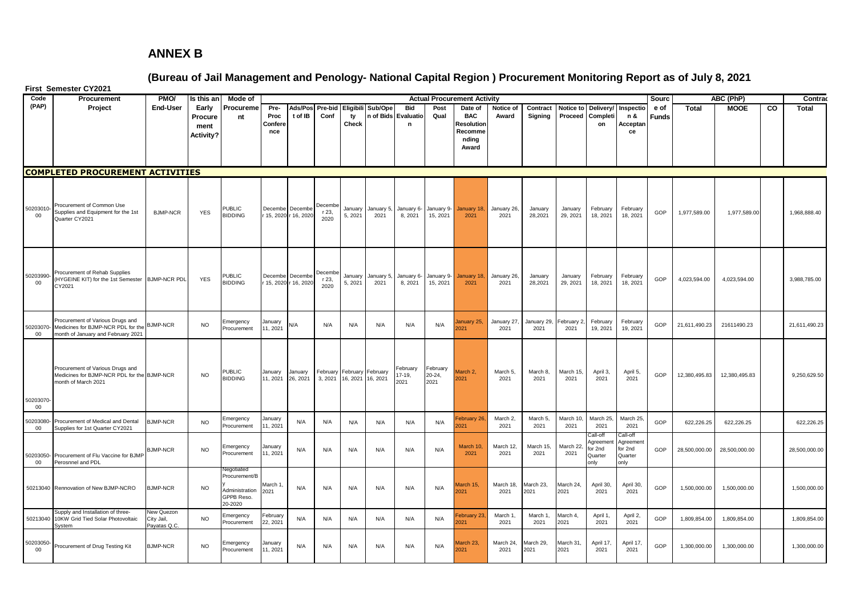## **ANNEX B**

**(Bureau of Jail Management and Penology- National Capital Region ) Procurement Monitoring Report as of July 8, 2021**

|                     | First Semester CY2021                                                                                        |                                          |                                     |                                                                        |                        |                     |                          |                    |                    |                            |                               |                                                        |                     |                     |                     |                                                   |                                                   |               |               |                          |    |                  |
|---------------------|--------------------------------------------------------------------------------------------------------------|------------------------------------------|-------------------------------------|------------------------------------------------------------------------|------------------------|---------------------|--------------------------|--------------------|--------------------|----------------------------|-------------------------------|--------------------------------------------------------|---------------------|---------------------|---------------------|---------------------------------------------------|---------------------------------------------------|---------------|---------------|--------------------------|----|------------------|
| Code<br>(PAP)       | Procurement<br>Project                                                                                       | PMO/<br><b>End-User</b>                  | Is this an<br>Early                 | Mode of<br>Procureme                                                   | Pre-                   | Ads/Pos Pre-bid     |                          | Eligibili          | Sub/Ope            | <b>Bid</b>                 | Post                          | <b>Actual Procurement Activity</b><br>Date of          | Notice of           | Contract            | Notice to           |                                                   | Delivery/ Inspectio                               | Sourc<br>e of | <b>Total</b>  | ABC (PhP)<br><b>MOOE</b> | CO | Contrad<br>Total |
|                     |                                                                                                              |                                          | Procure<br>ment<br><b>Activity?</b> | nt                                                                     | Proc<br>Confere<br>nce | t of IB             | Conf                     | ty<br>Check        | n of Bids          | Evaluatio<br>n             | Qual                          | <b>BAC</b><br>रेesolution<br>Recomme<br>nding<br>Award | Award               | Signing             | Proceed             | Completi<br>on                                    | n &<br>Acceptan<br>ce                             | <b>Funds</b>  |               |                          |    |                  |
|                     | <b>COMPLETED PROCUREMENT ACTIVITIES</b>                                                                      |                                          |                                     |                                                                        |                        |                     |                          |                    |                    |                            |                               |                                                        |                     |                     |                     |                                                   |                                                   |               |               |                          |    |                  |
| 50203010-<br>$00\,$ | Procurement of Common Use<br>Supplies and Equipment for the 1st<br>Quarter CY2021                            | <b>BJMP-NCR</b>                          | <b>YES</b>                          | <b>PUBLIC</b><br><b>BIDDING</b>                                        | Decembe Decembe        | 15, 2020 r 16, 2020 | Decembe<br>r 23,<br>2020 | January<br>5, 2021 | January 5,<br>2021 | January 6-<br>8, 2021      | January 9-<br>15, 2021        | January 18,<br>2021                                    | January 26,<br>2021 | January<br>28,2021  | January<br>29, 2021 | February<br>18, 2021                              | February<br>18, 2021                              | GOP           | 1,977,589.00  | 1,977,589.00             |    | 1,968,888.40     |
| 50203990-<br>$00\,$ | Procurement of Rehab Supplies<br>HYGEINE KIT) for the 1st Semester<br>CY2021                                 | <b>BJMP-NCR PDL</b>                      | <b>YES</b>                          | <b>PUBLIC</b><br><b>BIDDING</b>                                        | Decembe Decembe        | 15, 2020 r 16, 2020 | Decembe<br>r 23,<br>2020 | January<br>5, 2021 | January 5,<br>2021 | January 6-<br>8, 2021      | January 9-<br>15, 2021        | January 18,<br>2021                                    | January 26,<br>2021 | January<br>28,2021  | January<br>29, 2021 | February<br>18, 2021                              | February<br>18, 2021                              | GOP           | 4,023,594.00  | 4,023,594.00             |    | 3,988,785.00     |
| 50203070<br>00      | Procurement of Various Drugs and<br>Medicines for BJMP-NCR PDL for the<br>month of January and February 2021 | <b>SJMP-NCR</b>                          | <b>NO</b>                           | Emergency<br>Procurement                                               | January<br>11, 2021    | N/A                 | N/A                      | N/A                | N/A                | N/A                        | N/A                           | lanuary 25,<br>021                                     | January 27,<br>2021 | January 29,<br>2021 | February<br>2021    | February<br>19, 2021                              | February<br>19, 2021                              | GOP           | 21,611,490.23 | 21611490.23              |    | 21,611,490.23    |
| 50203070<br>00      | Procurement of Various Drugs and<br>Medicines for BJMP-NCR PDL for the BJMP-NCR<br>month of March 2021       |                                          | <b>NO</b>                           | PUBLIC<br><b>BIDDING</b>                                               | January<br>11, 2021    | January<br>26, 2021 | February<br>3, 2021      | 16, 2021 16, 2021  | February February  | February<br>17-19,<br>2021 | February<br>$20 - 24$<br>2021 | Aarch <sub>2</sub><br>2021                             | March 5,<br>2021    | March 8,<br>2021    | March 15<br>2021    | April 3,<br>2021                                  | April 5,<br>2021                                  | GOP           | 12,380,495.83 | 12,380,495.83            |    | 9,250,629.50     |
| 50203080<br>00      | Procurement of Medical and Dental<br>Supplies for 1st Quarter CY2021                                         | <b>BJMP-NCR</b>                          | <b>NO</b>                           | Emergency<br>Procurement                                               | January<br>11, 2021    | N/A                 | N/A                      | N/A                | N/A                | N/A                        | N/A                           | ebruary 26<br>021                                      | March 2,<br>2021    | March 5,<br>2021    | March 10<br>2021    | March 25.<br>2021                                 | March 25<br>2021                                  | GOP           | 622,226.25    | 622,226.25               |    | 622,226.25       |
| $00\,$              | 50203050- Procurement of Flu Vaccine for BJMP<br>Perosnnel and PDL                                           | <b>BJMP-NCR</b>                          | <b>NO</b>                           | Emergency<br>Procurement                                               | January<br>11.2021     | N/A                 | N/A                      | N/A                | N/A                | N/A                        | N/A                           | March 10<br>2021                                       | March 12,<br>2021   | March 15,<br>2021   | March 22<br>2021    | ≿all-of<br>Agreemen<br>for 2nd<br>Quarter<br>only | all-of<br>Agreement<br>for 2nd<br>Quarter<br>only | GOP           | 28,500,000.00 | 28,500,000.00            |    | 28,500,000.00    |
|                     | 50213040 Rennovation of New BJMP-NCRO                                                                        | <b>BJMP-NCR</b>                          | <b>NO</b>                           | Negotiatec<br>Procurement/B<br>Administration<br>GPPB Reso.<br>20-2020 | March 1<br>2021        | N/A                 | N/A                      | N/A                | N/A                | N/A                        | N/A                           | Aarch 15,<br>2021                                      | March 18,<br>2021   | March 23,<br>2021   | March 24,<br>2021   | April 30,<br>2021                                 | April 30,<br>2021                                 | GOP           | 1,500,000.00  | 1,500,000.00             |    | 1,500,000.00     |
| 50213040            | Supply and Installation of three-<br>10KW Grid Tied Solar Photovoltaic<br>System                             | New Quezon<br>City Jail,<br>Payatas Q.C. | <b>NO</b>                           | Emergency<br>Procurement                                               | February<br>22, 2021   | N/A                 | N/A                      | N/A                | N/A                | N/A                        | N/A                           | ebruary 23<br>021                                      | March 1.<br>2021    | March 1.<br>2021    | March 4.<br>2021    | April 1.<br>2021                                  | April 2,<br>2021                                  | GOP           | 1,809,854.00  | 1,809,854.00             |    | 1,809,854.00     |
| 50203050<br>00      | Procurement of Drug Testing Kit                                                                              | <b>BJMP-NCR</b>                          | <b>NO</b>                           | Emergency<br>Procurement                                               | lanuary<br>11, 2021    | N/A                 | N/A                      | N/A                | N/A                | N/A                        | N/A                           | Aarch 23.<br>021                                       | March 24<br>2021    | March 29.<br>2021   | March 31.<br>2021   | April 17,<br>2021                                 | April 17,<br>2021                                 | GOP           | 1,300,000.00  | 1,300,000.00             |    | 1,300,000.00     |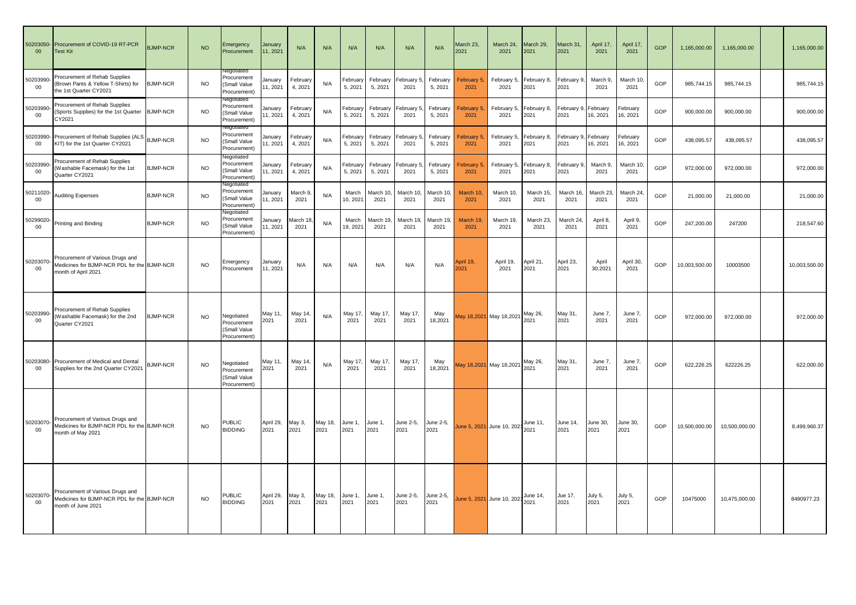| 50203050<br>00 <sub>o</sub> | Procurement of COVID-19 RT-PCR<br><b>Test Kit</b>                                                      | <b>BJMP-NCR</b> | <b>NO</b> | Emergency<br>Procurement                                        | January<br>11, 2021 | N/A                 | N/A             | N/A                 | N/A                 | N/A                | N/A                 | March 23,<br>2021          | March 24,<br>2021          | March 29,<br>2021   | March 31,<br>2021  | April 17,<br>2021    | April 17,<br>2021    | GOP | 1,165,000.00  | 1,165,000.00  | 1,165,000.00  |
|-----------------------------|--------------------------------------------------------------------------------------------------------|-----------------|-----------|-----------------------------------------------------------------|---------------------|---------------------|-----------------|---------------------|---------------------|--------------------|---------------------|----------------------------|----------------------------|---------------------|--------------------|----------------------|----------------------|-----|---------------|---------------|---------------|
| 50203990<br>$00\,$          | Procurement of Rehab Supplies<br>Brown Pants & Yellow T-Shirts) for<br>the 1st Quarter CY2021          | <b>BJMP-NCR</b> | <b>NO</b> | Procurement<br>(Small Value<br>Procurement)                     | January<br>1, 2021  | February<br>4, 2021 | N/A             | February<br>5, 2021 | February<br>5, 2021 | February 5<br>2021 | February<br>5, 2021 | February 5,<br>2021        | February 5,<br>2021        | February 8,<br>2021 | February 9<br>2021 | March 9,<br>2021     | March 10,<br>2021    | GOP | 985,744.15    | 985,744.15    | 985,744.15    |
| 50203990<br>00              | Procurement of Rehab Supplies<br>(Sports Supplies) for the 1st Quarter<br>CY2021                       | <b>BJMP-NCR</b> | <b>NO</b> | iegotiatec<br>Procurement<br>(Small Value<br>Procurement)       | Januarv<br>1, 2021  | February<br>4, 2021 | N/A             | Februar<br>5, 2021  | February<br>5, 2021 | February 5<br>2021 | February<br>5, 2021 | ebruary 5,<br>2021         | February 5,<br>2021        | February 8,<br>2021 | February 9<br>2021 | February<br>16, 2021 | ebruary<br>16, 2021  | GOP | 900,000.00    | 900,000.00    | 900,000.00    |
| 50203990<br>00              | Procurement of Rehab Supplies (ALS<br>KIT) for the 1st Quarter CY2021                                  | <b>BJMP-NCR</b> | <b>NO</b> | Procurement<br>(Small Value<br>Procurement)                     | January<br>11, 2021 | February<br>4, 2021 | N/A             | Februar<br>5, 2021  | February<br>5, 2021 | February !<br>2021 | February<br>5, 2021 | February 5<br>2021         | February 5,<br>2021        | February 8.<br>2021 | February 9<br>2021 | February<br>16, 2021 | February<br>16, 2021 | GOP | 438,095.57    | 438,095.57    | 438,095.57    |
| 50203990<br>$00\,$          | Procurement of Rehab Supplies<br>(Washable Facemask) for the 1st<br>Quarter CY2021                     | <b>BJMP-NCR</b> | <b>NO</b> | legotiated<br>Procurement<br>(Small Value<br>Procurement)       | January<br>11, 2021 | February<br>4, 2021 | N/A             | Februar<br>5, 2021  | February<br>5, 2021 | February 5<br>2021 | February<br>5, 2021 | <b>E</b> ebruary 5<br>2021 | February 5<br>2021         | February 8,<br>2021 | February 9<br>2021 | March 9,<br>2021     | March 10<br>2021     | GOP | 972,000.00    | 972,000.00    | 972,000.00    |
| 50211020<br>$00\,$          | <b>Auditing Expenses</b>                                                                               | <b>BJMP-NCR</b> | <b>NO</b> | Vegotiated<br>Procurement<br><b>Small Value</b><br>Procurement) | January<br>11, 2021 | March 9,<br>2021    | N/A             | March<br>10, 2021   | March 10<br>2021    | March 10<br>2021   | March 10<br>2021    | March 10,<br>2021          | March 10,<br>2021          | March 15,<br>2021   | March 16<br>2021   | March 23,<br>2021    | March 24<br>2021     | GOP | 21,000.00     | 21,000.00     | 21,000.00     |
| 50299020<br>$00\,$          | Printing and Binding                                                                                   | <b>BJMP-NCR</b> | <b>NO</b> | legotiated<br>Procurement<br>(Small Value<br>Procurement)       | January<br>11, 2021 | March 18<br>2021    | N/A             | March<br>19, 2021   | March 19<br>2021    | March 19.<br>2021  | March 19.<br>2021   | March 19.<br>2021          | March 19.<br>2021          | March 23,<br>2021   | March 24<br>2021   | April 8.<br>2021     | April 9.<br>2021     | GOP | 247,200.00    | 247200        | 218,547.60    |
| 50203070<br>$00\,$          | Procurement of Various Drugs and<br>Medicines for BJMP-NCR PDL for the BJMP-NCR<br>month of April 2021 |                 | <b>NO</b> | Emergency<br>Procurement                                        | January<br>11, 2021 | N/A                 | N/A             | N/A                 | N/A                 | N/A                | N/A                 | pril 19,<br>2021           | April 19,<br>2021          | April 21,<br>2021   | April 23,<br>2021  | April<br>30,2021     | April 30,<br>2021    | GOP | 10,003,500.00 | 10003500      | 10,003,500.00 |
| 50203990<br>00              | Procurement of Rehab Supplies<br>(Washable Facemask) for the 2nd<br>Quarter CY2021                     | <b>BJMP-NCR</b> | <b>NO</b> | Negotiated<br>Procurement<br>(Small Value<br>Procurement)       | May 11,<br>2021     | May 14,<br>2021     | N/A             | May 17,<br>2021     | May 17,<br>2021     | May 17,<br>2021    | May<br>18,2021      |                            | May 18,2021 May 18,2021    | May 26,<br>2021     | May 31,<br>2021    | June 7,<br>2021      | June 7,<br>2021      | GOP | 972.000.00    | 972,000.00    | 972,000.00    |
| 50203080<br>$00\,$          | Procurement of Medical and Dental<br>Supplies for the 2nd Quarter CY2021                               | <b>JMP-NCR</b>  | <b>NO</b> | Negotiated<br>Procurement<br>(Small Value<br>Procurement)       | May 11,<br>2021     | May 14,<br>2021     | N/A             | May 17,<br>2021     | May 17,<br>2021     | May 17,<br>2021    | May<br>18,2021      |                            | May 18,2021 May 18,2021    | May 26,<br>2021     | May 31,<br>2021    | June 7,<br>2021      | June 7,<br>2021      | GOP | 622,226.25    | 622226.25     | 622,000.00    |
| 50203070<br>$00\,$          | Procurement of Various Drugs and<br>Medicines for BJMP-NCR PDL for the BJMP-NCR<br>month of May 2021   |                 | <b>NO</b> | <b>PUBLIC</b><br><b>BIDDING</b>                                 | April 29,<br>2021   | May 3,<br>2021      | May 18,<br>2021 | June 1,<br>2021     | June 1,<br>2021     | June 2-5,<br>2021  | June 2-5,<br>2021   |                            | June 5, 2021 June 10, 2021 | June 11,<br>2021    | June 14,<br>2021   | June 30,<br>2021     | June 30,<br>2021     | GOP | 10,500,000.00 | 10,500,000.00 | 8,499,960.37  |
| 50203070<br>00              | Procurement of Various Drugs and<br>Medicines for BJMP-NCR PDL for the BJMP-NCR<br>month of June 2021  |                 | <b>NO</b> | PUBLIC<br><b>BIDDING</b>                                        | April 29,<br>2021   | May 3,<br>2021      | May 18,<br>2021 | June 1,<br>2021     | June 1,<br>2021     | June 2-5,<br>2021  | June 2-5,<br>2021   |                            | June 5, 2021 June 10, 2021 | June 14,<br>2021    | Jue 17,<br>2021    | July 5,<br>2021      | July 5,<br>2021      | GOP | 10475000      | 10,475,000.00 | 8490977.23    |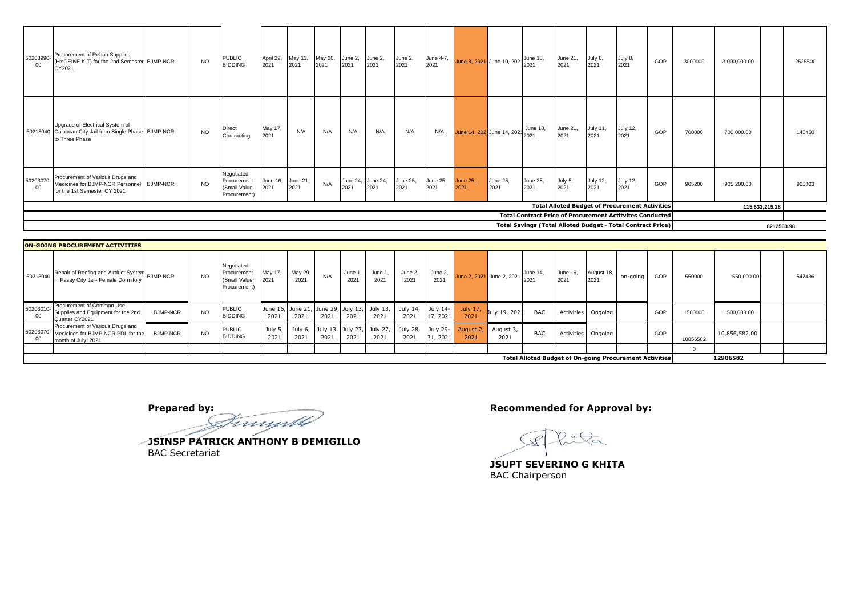| 50203990-<br>00 | Procurement of Rehab Supplies<br>(HYGEINE KIT) for the 2nd Semester BJMP-NCR<br>CY2021                        | <b>NO</b> | <b>PUBLIC</b><br><b>BIDDING</b>                           | April 29,<br>2021         | May 13,<br>2021 | May 20,<br>2021 | June 2,<br>2021 | June 2,<br>2021           | June 2,<br>2021         | June 4-7,<br>2021       |                                    | June 8, 2021 June 10, 202 June 18, |                                                                                                                                       | June 21<br>2021  | July 8,<br>2021         | July 8,<br>2021                                       | GOP | 3000000 | 3,000,000.00 |                | 2525500 |  |
|-----------------|---------------------------------------------------------------------------------------------------------------|-----------|-----------------------------------------------------------|---------------------------|-----------------|-----------------|-----------------|---------------------------|-------------------------|-------------------------|------------------------------------|------------------------------------|---------------------------------------------------------------------------------------------------------------------------------------|------------------|-------------------------|-------------------------------------------------------|-----|---------|--------------|----------------|---------|--|
|                 | Upgrade of Electrical System of<br>50213040 Caloocan City Jail form Single Phase BJMP-NCR<br>to Three Phase   | <b>NO</b> | Direct<br>Contracting                                     | May 17,<br>2021           | N/A             | N/A             | N/A             | N/A                       | N/A                     | N/A                     | June 14, 202 June 14, 202 June 18, |                                    |                                                                                                                                       | June 21,<br>2021 | <b>July 11,</b><br>2021 | July 12,<br>2021                                      | GOP | 700000  | 700,000.00   |                | 148450  |  |
| 50203070-<br>00 | Procurement of Various Drugs and<br>Medicines for BJMP-NCR Personnel BJMP-NCR<br>for the 1st Semester CY 2021 | <b>NO</b> | Negotiated<br>Procurement<br>(Small Value<br>Procurement) | June 16, June 21,<br>2021 | 2021            | N/A             | 2021            | June 24, June 24,<br>2021 | <b>June 25,</b><br>2021 | <b>June 25,</b><br>2021 | <b>June 25,</b><br>2021            | June 25,<br>2021                   | June 28,<br>2021                                                                                                                      | July 5,<br>2021  | <b>July 12,</b><br>2021 | July 12,<br>2021                                      | GOP | 905200  | 905,200.00   |                | 905003  |  |
|                 |                                                                                                               |           |                                                           |                           |                 |                 |                 |                           |                         |                         |                                    |                                    |                                                                                                                                       |                  |                         | <b>Total Alloted Budget of Procurement Activities</b> |     |         |              | 115,632,215.28 |         |  |
|                 |                                                                                                               |           |                                                           |                           |                 |                 |                 |                           |                         |                         |                                    |                                    | <b>Total Contract Price of Procurement Actitvites Conducted</b><br><b>Total Savings (Total Alloted Budget - Total Contract Price)</b> |                  |                         |                                                       |     |         |              | 8212563.98     |         |  |

|    | <b>ON-GOING PROCUREMENT ACTIVITIES</b>                                                                |                 |           |                                                           |                |                 |      |                 |                                            |                                                                        |                      |                  |                           |            |                  |                    |          |     |          |               |        |
|----|-------------------------------------------------------------------------------------------------------|-----------------|-----------|-----------------------------------------------------------|----------------|-----------------|------|-----------------|--------------------------------------------|------------------------------------------------------------------------|----------------------|------------------|---------------------------|------------|------------------|--------------------|----------|-----|----------|---------------|--------|
|    | Repair of Roofing and Airduct System BJMP-NCR<br>50213040 In Pasay City Jail- Female Dormitory        |                 | <b>NO</b> | Negotiated<br>Procurement<br>(Small Value<br>Procurement) | May 17,<br>021 | May 29,<br>2021 | N/A  | June<br>$202 -$ | June '<br>2021                             | June 2,<br>2021                                                        | June 2,<br>2021      |                  | June 2, 2021 June 2, 2021 | June 14,   | June 16,<br>2021 | August 18,<br>2021 | on-going | GOP | 550000   | 550,000.00    | 547496 |
|    | Procurement of Common Use<br>50203010-<br>Supplies and Equipment for the 2nd<br>Quarter CY2021        | <b>BJMP-NCR</b> | <b>NO</b> | PUBLIC<br><b>BIDDING</b>                                  | 2021           | 2021            | 2021 | 2021            | 2021                                       | June 16, June 21, June 29, July 13, July 13, July 14, July 14-<br>2021 | 17, 2021             | July 17,<br>2021 | July 19, 202:             | <b>BAC</b> |                  | Activities Ongoing |          | GOP | 1500000  | 1,500,000.00  |        |
| 00 | Procurement of Various Drugs and<br>50203070-Medicines for BJMP-NCR PDL for the<br>month of July 2021 | <b>BJMP-NCR</b> | NO        | PUBLIC<br><b>BIDDING</b>                                  | July 5<br>2021 | 2021            | 2021 | 2021            | July 6, July 13, July 27, July 27,<br>2021 | July 28,<br>2021                                                       | July 29-<br>31, 2021 | August 2<br>2021 | August 3,<br>2021         | <b>BAC</b> |                  | Activities Ongoing |          | GOP | 10856582 | 10,856,582.00 |        |
|    |                                                                                                       |                 |           |                                                           |                |                 |      |                 |                                            |                                                                        |                      |                  |                           |            |                  |                    |          |     |          |               |        |
|    | <b>Total Alloted Budget of On-going Procurement Activities</b><br>12906582                            |                 |           |                                                           |                |                 |      |                 |                                            |                                                                        |                      |                  |                           |            |                  |                    |          |     |          |               |        |

**Prepared by: Recommended for Approval by: Recommended for Approval by:** 

**JSINSP PATRICK ANTHONY B DEMIGILLO** BAC Secretariat

**JSUPT SEVERINO G KHITA** BAC Chairperson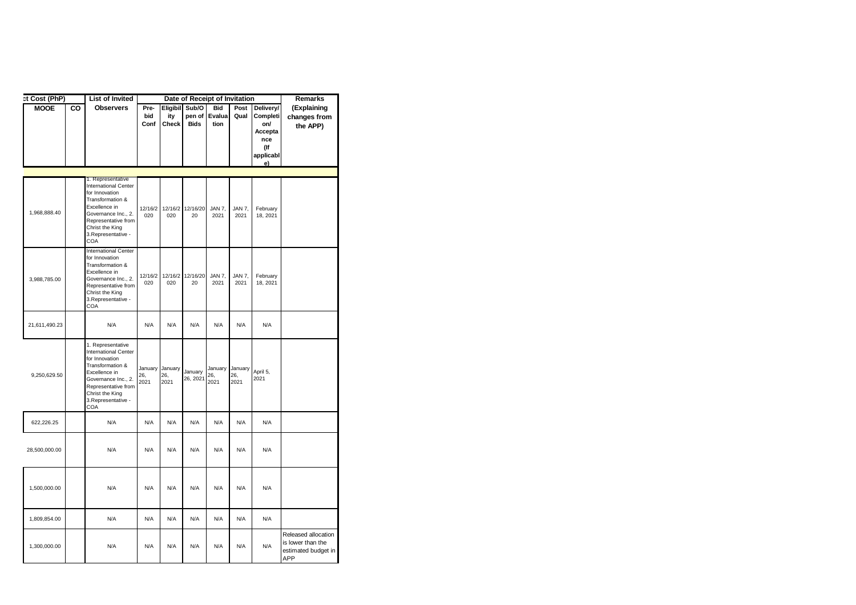| et Cost (PhP) |    | <b>List of Invited</b>                                                                                                                                                                                 |                     |                                | Date of Receipt of Invitation  |                              |                        |                                                                          | Remarks                                                                |
|---------------|----|--------------------------------------------------------------------------------------------------------------------------------------------------------------------------------------------------------|---------------------|--------------------------------|--------------------------------|------------------------------|------------------------|--------------------------------------------------------------------------|------------------------------------------------------------------------|
| <b>MOOE</b>   | CO | <b>Observers</b>                                                                                                                                                                                       | Pre-<br>bid<br>Conf | Eligibil<br>ity<br>Check       | Sub/O<br>pen of<br><b>Bids</b> | <b>Bid</b><br>Evalua<br>tion | Post<br>Qual           | Delivery/<br>Completi<br>on/<br>Accepta<br>nce<br>(lf<br>applicabl<br>e) | (Explaining<br>changes from<br>the APP)                                |
|               |    |                                                                                                                                                                                                        |                     |                                |                                |                              |                        |                                                                          |                                                                        |
| 1,968,888.40  |    | 1. Representative<br><b>International Center</b><br>for Innovation<br>Transformation &<br>Excellence in<br>Governance Inc., 2.<br>Representative from<br>Christ the King<br>3. Representative -<br>COA | 12/16/2<br>020      | 020                            | 12/16/2 12/16/20<br>20         | JAN 7,<br>2021               | JAN 7,<br>2021         | February<br>18, 2021                                                     |                                                                        |
| 3,988,785.00  |    | <b>International Center</b><br>for Innovation<br>Transformation &<br>Excellence in<br>Governance Inc., 2.<br>Representative from<br>Christ the King<br>3. Representative -<br>COA                      | 12/16/2<br>020      | 020                            | 12/16/2 12/16/20<br>20         | JAN 7,<br>2021               | JAN 7,<br>2021         | February<br>18, 2021                                                     |                                                                        |
| 21,611,490.23 |    | N/A                                                                                                                                                                                                    | N/A                 | N/A                            | N/A                            | N/A                          | N/A                    | N/A                                                                      |                                                                        |
| 9,250,629.50  |    | 1. Representative<br><b>International Center</b><br>for Innovation<br>Transformation &<br>Excellence in<br>Governance Inc., 2.<br>Representative from<br>Christ the King<br>3. Representative -<br>COA | 26,<br>2021         | January January<br>26.<br>2021 | January<br>26, 2021            | January<br>26,<br>2021       | January<br>26,<br>2021 | April 5,<br>2021                                                         |                                                                        |
| 622,226.25    |    | N/A                                                                                                                                                                                                    | N/A                 | N/A                            | N/A                            | N/A                          | N/A                    | N/A                                                                      |                                                                        |
| 28,500,000.00 |    | N/A                                                                                                                                                                                                    | N/A                 | N/A                            | N/A                            | N/A                          | N/A                    | N/A                                                                      |                                                                        |
| 1,500,000.00  |    | N/A                                                                                                                                                                                                    | N/A                 | N/A                            | N/A                            | N/A                          | N/A                    | N/A                                                                      |                                                                        |
| 1,809,854.00  |    | N/A                                                                                                                                                                                                    | N/A                 | N/A                            | N/A                            | N/A                          | N/A                    | N/A                                                                      |                                                                        |
| 1,300,000.00  |    | N/A                                                                                                                                                                                                    | N/A                 | N/A                            | N/A                            | N/A                          | N/A                    | N/A                                                                      | Released allocation<br>is lower than the<br>estimated budget in<br>APP |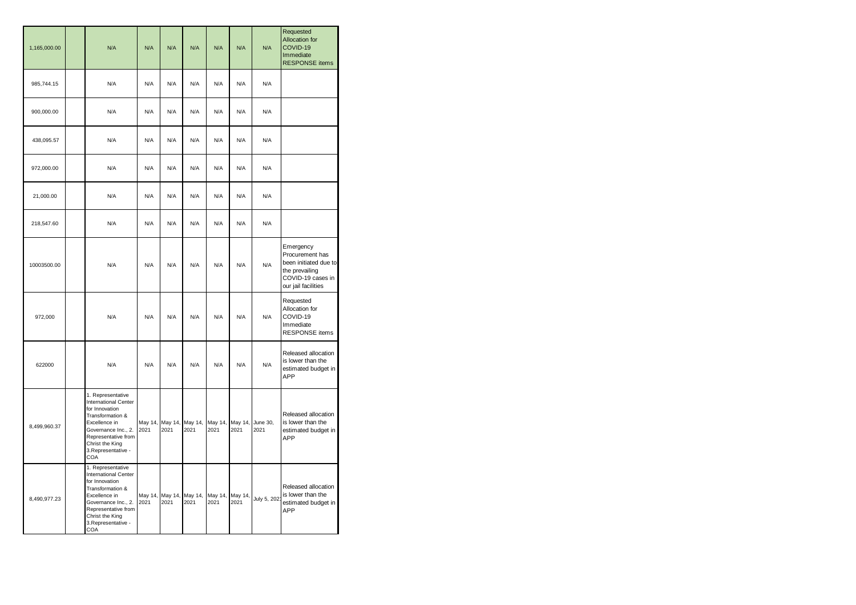| 1,165,000.00 | N/A                                                                                                                                                                                                    | N/A             | N/A             | N/A             | N/A             | N/A             | N/A              | Requested<br><b>Allocation for</b><br>COVID-19<br>Immediate<br><b>RESPONSE</b> items                                |
|--------------|--------------------------------------------------------------------------------------------------------------------------------------------------------------------------------------------------------|-----------------|-----------------|-----------------|-----------------|-----------------|------------------|---------------------------------------------------------------------------------------------------------------------|
| 985,744.15   | N/A                                                                                                                                                                                                    | N/A             | N/A             | N/A             | N/A             | N/A             | N/A              |                                                                                                                     |
| 900,000.00   | N/A                                                                                                                                                                                                    | N/A             | N/A             | N/A             | N/A             | N/A             | N/A              |                                                                                                                     |
| 438,095.57   | N/A                                                                                                                                                                                                    | N/A             | N/A             | N/A             | N/A             | N/A             | N/A              |                                                                                                                     |
| 972,000.00   | N/A                                                                                                                                                                                                    | N/A             | N/A             | N/A             | N/A             | N/A             | N/A              |                                                                                                                     |
| 21,000.00    | N/A                                                                                                                                                                                                    | N/A             | N/A             | N/A             | N/A             | N/A             | N/A              |                                                                                                                     |
| 218,547.60   | N/A                                                                                                                                                                                                    | N/A             | N/A             | N/A             | N/A             | N/A             | N/A              |                                                                                                                     |
| 10003500.00  | N/A                                                                                                                                                                                                    | N/A             | N/A             | N/A             | N/A             | N/A             | N/A              | Emergency<br>Procurement has<br>been initiated due to<br>the prevailing<br>COVID-19 cases in<br>our jail facilities |
| 972,000      | N/A                                                                                                                                                                                                    | N/A             | N/A             | N/A             | N/A             | N/A             | N/A              | Requested<br>Allocation for<br>COVID-19<br>Immediate<br><b>RESPONSE</b> items                                       |
| 622000       | N/A                                                                                                                                                                                                    | N/A             | N/A             | N/A             | N/A             | N/A             | N/A              | Released allocation<br>is lower than the<br>estimated budget in<br>APP                                              |
| 8,499,960.37 | 1. Representative<br><b>International Center</b><br>for Innovation<br>Transformation &<br>Excellence in<br>Governance Inc., 2.<br>Representative from<br>Christ the King<br>3. Representative -<br>COA | May 14,<br>2021 | May 14,<br>2021 | May 14,<br>2021 | May 14,<br>2021 | May 14,<br>2021 | June 30,<br>2021 | Released allocation<br>is lower than the<br>estimated budget in<br>APP                                              |
| 8,490,977.23 | 1. Representative<br><b>International Center</b><br>for Innovation<br>Transformation &<br>Excellence in<br>Governance Inc., 2.<br>Representative from<br>Christ the King<br>3. Representative -<br>COA | May 14,<br>2021 | May 14,<br>2021 | May 14,<br>2021 | May 14,<br>2021 | May 14,<br>2021 | July 5, 202      | Released allocation<br>is lower than the<br>estimated budget in<br>APP                                              |